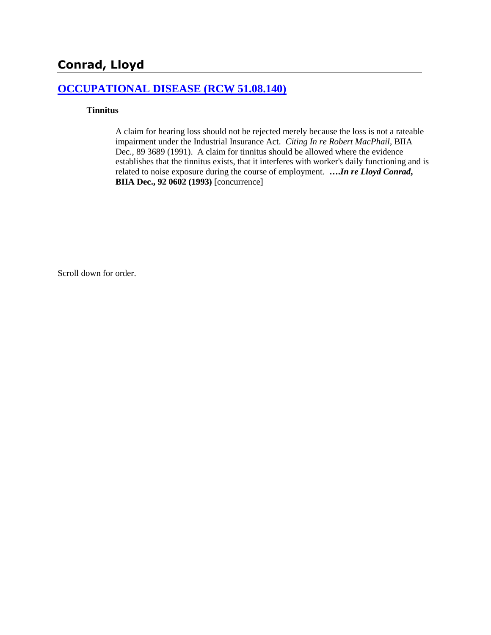# **Conrad, Lloyd**

### **[OCCUPATIONAL DISEASE \(RCW 51.08.140\)](http://www.biia.wa.gov/SDSubjectIndex.html#OCCUPATIONAL_DISEASE)**

### **Tinnitus**

A claim for hearing loss should not be rejected merely because the loss is not a rateable impairment under the Industrial Insurance Act. *Citing In re Robert MacPhail*, BIIA Dec., 89 3689 (1991). A claim for tinnitus should be allowed where the evidence establishes that the tinnitus exists, that it interferes with worker's daily functioning and is related to noise exposure during the course of employment. **….***In re Lloyd Conrad***, BIIA Dec., 92 0602 (1993)** [concurrence]

Scroll down for order.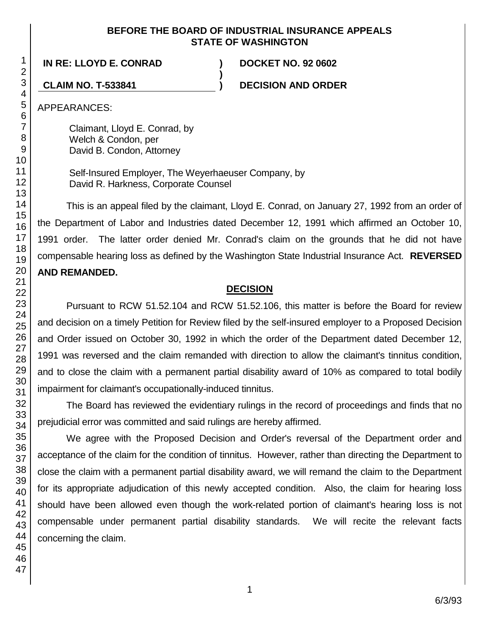### **BEFORE THE BOARD OF INDUSTRIAL INSURANCE APPEALS STATE OF WASHINGTON**

**)**

**IN RE: LLOYD E. CONRAD ) DOCKET NO. 92 0602**

**CLAIM NO. T-533841 ) DECISION AND ORDER**

APPEARANCES:

Claimant, Lloyd E. Conrad, by Welch & Condon, per David B. Condon, Attorney

Self-Insured Employer, The Weyerhaeuser Company, by David R. Harkness, Corporate Counsel

This is an appeal filed by the claimant, Lloyd E. Conrad, on January 27, 1992 from an order of the Department of Labor and Industries dated December 12, 1991 which affirmed an October 10, 1991 order. The latter order denied Mr. Conrad's claim on the grounds that he did not have compensable hearing loss as defined by the Washington State Industrial Insurance Act. **REVERSED AND REMANDED.**

# **DECISION**

Pursuant to RCW 51.52.104 and RCW 51.52.106, this matter is before the Board for review and decision on a timely Petition for Review filed by the self-insured employer to a Proposed Decision and Order issued on October 30, 1992 in which the order of the Department dated December 12, 1991 was reversed and the claim remanded with direction to allow the claimant's tinnitus condition, and to close the claim with a permanent partial disability award of 10% as compared to total bodily impairment for claimant's occupationally-induced tinnitus.

The Board has reviewed the evidentiary rulings in the record of proceedings and finds that no prejudicial error was committed and said rulings are hereby affirmed.

We agree with the Proposed Decision and Order's reversal of the Department order and acceptance of the claim for the condition of tinnitus. However, rather than directing the Department to close the claim with a permanent partial disability award, we will remand the claim to the Department for its appropriate adjudication of this newly accepted condition. Also, the claim for hearing loss should have been allowed even though the work-related portion of claimant's hearing loss is not compensable under permanent partial disability standards. We will recite the relevant facts concerning the claim.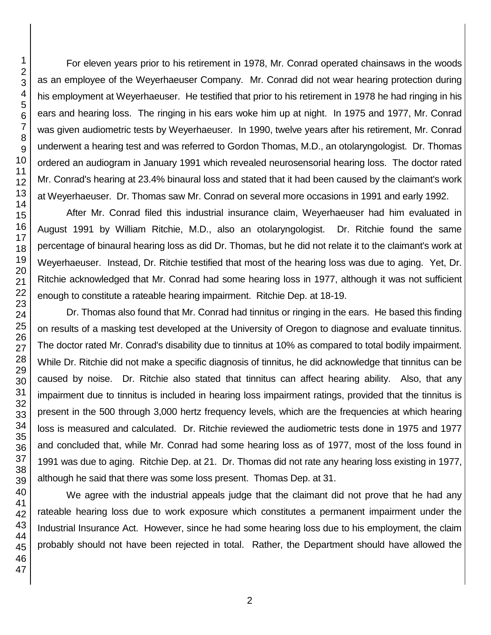For eleven years prior to his retirement in 1978, Mr. Conrad operated chainsaws in the woods as an employee of the Weyerhaeuser Company. Mr. Conrad did not wear hearing protection during his employment at Weyerhaeuser. He testified that prior to his retirement in 1978 he had ringing in his ears and hearing loss. The ringing in his ears woke him up at night. In 1975 and 1977, Mr. Conrad was given audiometric tests by Weyerhaeuser. In 1990, twelve years after his retirement, Mr. Conrad underwent a hearing test and was referred to Gordon Thomas, M.D., an otolaryngologist. Dr. Thomas ordered an audiogram in January 1991 which revealed neurosensorial hearing loss. The doctor rated Mr. Conrad's hearing at 23.4% binaural loss and stated that it had been caused by the claimant's work at Weyerhaeuser. Dr. Thomas saw Mr. Conrad on several more occasions in 1991 and early 1992.

After Mr. Conrad filed this industrial insurance claim, Weyerhaeuser had him evaluated in August 1991 by William Ritchie, M.D., also an otolaryngologist. Dr. Ritchie found the same percentage of binaural hearing loss as did Dr. Thomas, but he did not relate it to the claimant's work at Weyerhaeuser. Instead, Dr. Ritchie testified that most of the hearing loss was due to aging. Yet, Dr. Ritchie acknowledged that Mr. Conrad had some hearing loss in 1977, although it was not sufficient enough to constitute a rateable hearing impairment. Ritchie Dep. at 18-19.

Dr. Thomas also found that Mr. Conrad had tinnitus or ringing in the ears. He based this finding on results of a masking test developed at the University of Oregon to diagnose and evaluate tinnitus. The doctor rated Mr. Conrad's disability due to tinnitus at 10% as compared to total bodily impairment. While Dr. Ritchie did not make a specific diagnosis of tinnitus, he did acknowledge that tinnitus can be caused by noise. Dr. Ritchie also stated that tinnitus can affect hearing ability. Also, that any impairment due to tinnitus is included in hearing loss impairment ratings, provided that the tinnitus is present in the 500 through 3,000 hertz frequency levels, which are the frequencies at which hearing loss is measured and calculated. Dr. Ritchie reviewed the audiometric tests done in 1975 and 1977 and concluded that, while Mr. Conrad had some hearing loss as of 1977, most of the loss found in 1991 was due to aging. Ritchie Dep. at 21. Dr. Thomas did not rate any hearing loss existing in 1977, although he said that there was some loss present. Thomas Dep. at 31.

We agree with the industrial appeals judge that the claimant did not prove that he had any rateable hearing loss due to work exposure which constitutes a permanent impairment under the Industrial Insurance Act. However, since he had some hearing loss due to his employment, the claim probably should not have been rejected in total. Rather, the Department should have allowed the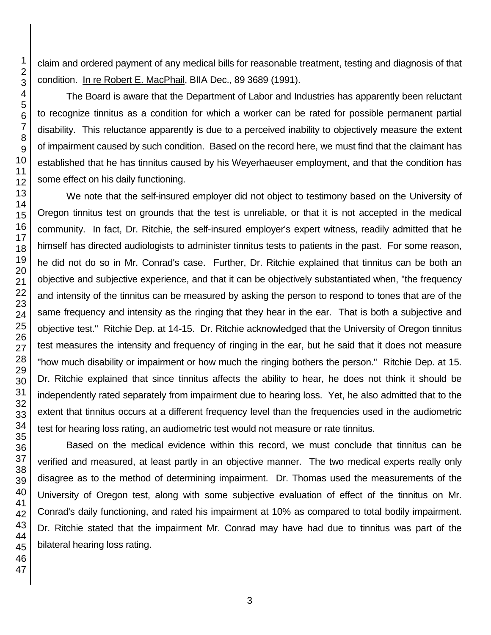claim and ordered payment of any medical bills for reasonable treatment, testing and diagnosis of that condition. In re Robert E. MacPhail, BIIA Dec., 89 3689 (1991).

The Board is aware that the Department of Labor and Industries has apparently been reluctant to recognize tinnitus as a condition for which a worker can be rated for possible permanent partial disability. This reluctance apparently is due to a perceived inability to objectively measure the extent of impairment caused by such condition. Based on the record here, we must find that the claimant has established that he has tinnitus caused by his Weyerhaeuser employment, and that the condition has some effect on his daily functioning.

We note that the self-insured employer did not object to testimony based on the University of Oregon tinnitus test on grounds that the test is unreliable, or that it is not accepted in the medical community. In fact, Dr. Ritchie, the self-insured employer's expert witness, readily admitted that he himself has directed audiologists to administer tinnitus tests to patients in the past. For some reason, he did not do so in Mr. Conrad's case. Further, Dr. Ritchie explained that tinnitus can be both an objective and subjective experience, and that it can be objectively substantiated when, "the frequency and intensity of the tinnitus can be measured by asking the person to respond to tones that are of the same frequency and intensity as the ringing that they hear in the ear. That is both a subjective and objective test." Ritchie Dep. at 14-15. Dr. Ritchie acknowledged that the University of Oregon tinnitus test measures the intensity and frequency of ringing in the ear, but he said that it does not measure "how much disability or impairment or how much the ringing bothers the person." Ritchie Dep. at 15. Dr. Ritchie explained that since tinnitus affects the ability to hear, he does not think it should be independently rated separately from impairment due to hearing loss. Yet, he also admitted that to the extent that tinnitus occurs at a different frequency level than the frequencies used in the audiometric test for hearing loss rating, an audiometric test would not measure or rate tinnitus.

Based on the medical evidence within this record, we must conclude that tinnitus can be verified and measured, at least partly in an objective manner. The two medical experts really only disagree as to the method of determining impairment. Dr. Thomas used the measurements of the University of Oregon test, along with some subjective evaluation of effect of the tinnitus on Mr. Conrad's daily functioning, and rated his impairment at 10% as compared to total bodily impairment. Dr. Ritchie stated that the impairment Mr. Conrad may have had due to tinnitus was part of the bilateral hearing loss rating.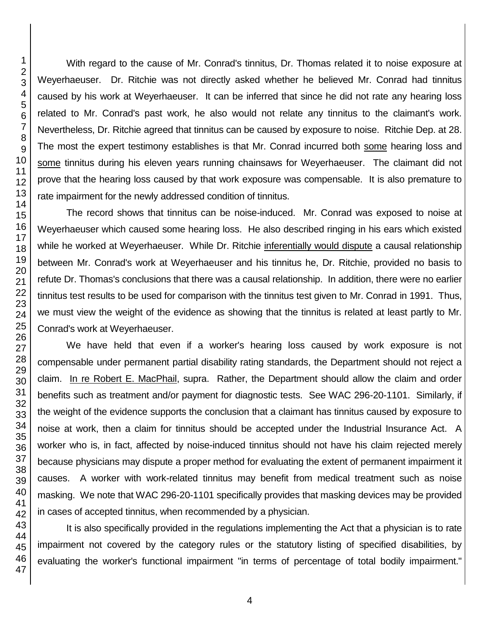With regard to the cause of Mr. Conrad's tinnitus, Dr. Thomas related it to noise exposure at Weyerhaeuser. Dr. Ritchie was not directly asked whether he believed Mr. Conrad had tinnitus caused by his work at Weyerhaeuser. It can be inferred that since he did not rate any hearing loss related to Mr. Conrad's past work, he also would not relate any tinnitus to the claimant's work. Nevertheless, Dr. Ritchie agreed that tinnitus can be caused by exposure to noise. Ritchie Dep. at 28. The most the expert testimony establishes is that Mr. Conrad incurred both some hearing loss and some tinnitus during his eleven years running chainsaws for Weyerhaeuser. The claimant did not prove that the hearing loss caused by that work exposure was compensable. It is also premature to rate impairment for the newly addressed condition of tinnitus.

The record shows that tinnitus can be noise-induced. Mr. Conrad was exposed to noise at Weyerhaeuser which caused some hearing loss. He also described ringing in his ears which existed while he worked at Weyerhaeuser. While Dr. Ritchie inferentially would dispute a causal relationship between Mr. Conrad's work at Weyerhaeuser and his tinnitus he, Dr. Ritchie, provided no basis to refute Dr. Thomas's conclusions that there was a causal relationship. In addition, there were no earlier tinnitus test results to be used for comparison with the tinnitus test given to Mr. Conrad in 1991. Thus, we must view the weight of the evidence as showing that the tinnitus is related at least partly to Mr. Conrad's work at Weyerhaeuser.

We have held that even if a worker's hearing loss caused by work exposure is not compensable under permanent partial disability rating standards, the Department should not reject a claim. In re Robert E. MacPhail, supra. Rather, the Department should allow the claim and order benefits such as treatment and/or payment for diagnostic tests. See WAC 296-20-1101. Similarly, if the weight of the evidence supports the conclusion that a claimant has tinnitus caused by exposure to noise at work, then a claim for tinnitus should be accepted under the Industrial Insurance Act. A worker who is, in fact, affected by noise-induced tinnitus should not have his claim rejected merely because physicians may dispute a proper method for evaluating the extent of permanent impairment it causes. A worker with work-related tinnitus may benefit from medical treatment such as noise masking. We note that WAC 296-20-1101 specifically provides that masking devices may be provided in cases of accepted tinnitus, when recommended by a physician.

It is also specifically provided in the regulations implementing the Act that a physician is to rate impairment not covered by the category rules or the statutory listing of specified disabilities, by evaluating the worker's functional impairment "in terms of percentage of total bodily impairment."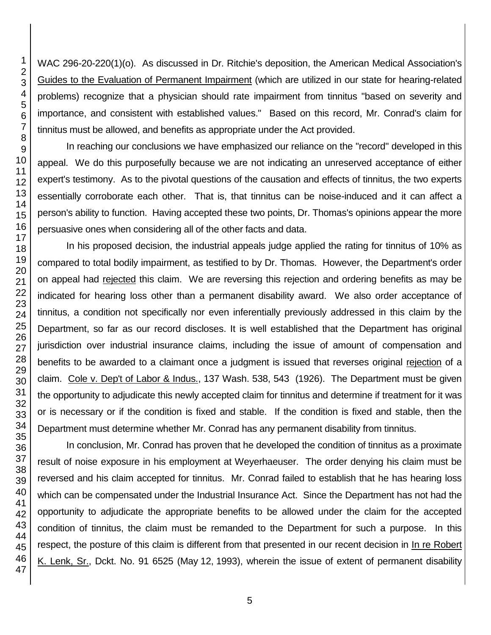WAC 296-20-220(1)(o). As discussed in Dr. Ritchie's deposition, the American Medical Association's Guides to the Evaluation of Permanent Impairment (which are utilized in our state for hearing-related problems) recognize that a physician should rate impairment from tinnitus "based on severity and importance, and consistent with established values." Based on this record, Mr. Conrad's claim for tinnitus must be allowed, and benefits as appropriate under the Act provided.

In reaching our conclusions we have emphasized our reliance on the "record" developed in this appeal. We do this purposefully because we are not indicating an unreserved acceptance of either expert's testimony. As to the pivotal questions of the causation and effects of tinnitus, the two experts essentially corroborate each other. That is, that tinnitus can be noise-induced and it can affect a person's ability to function. Having accepted these two points, Dr. Thomas's opinions appear the more persuasive ones when considering all of the other facts and data.

In his proposed decision, the industrial appeals judge applied the rating for tinnitus of 10% as compared to total bodily impairment, as testified to by Dr. Thomas. However, the Department's order on appeal had rejected this claim. We are reversing this rejection and ordering benefits as may be indicated for hearing loss other than a permanent disability award. We also order acceptance of tinnitus, a condition not specifically nor even inferentially previously addressed in this claim by the Department, so far as our record discloses. It is well established that the Department has original jurisdiction over industrial insurance claims, including the issue of amount of compensation and benefits to be awarded to a claimant once a judgment is issued that reverses original rejection of a claim. Cole v. Dep't of Labor & Indus., 137 Wash. 538, 543 (1926). The Department must be given the opportunity to adjudicate this newly accepted claim for tinnitus and determine if treatment for it was or is necessary or if the condition is fixed and stable. If the condition is fixed and stable, then the Department must determine whether Mr. Conrad has any permanent disability from tinnitus.

In conclusion, Mr. Conrad has proven that he developed the condition of tinnitus as a proximate result of noise exposure in his employment at Weyerhaeuser. The order denying his claim must be reversed and his claim accepted for tinnitus. Mr. Conrad failed to establish that he has hearing loss which can be compensated under the Industrial Insurance Act. Since the Department has not had the opportunity to adjudicate the appropriate benefits to be allowed under the claim for the accepted condition of tinnitus, the claim must be remanded to the Department for such a purpose. In this respect, the posture of this claim is different from that presented in our recent decision in In re Robert K. Lenk, Sr., Dckt. No. 91 6525 (May 12, 1993), wherein the issue of extent of permanent disability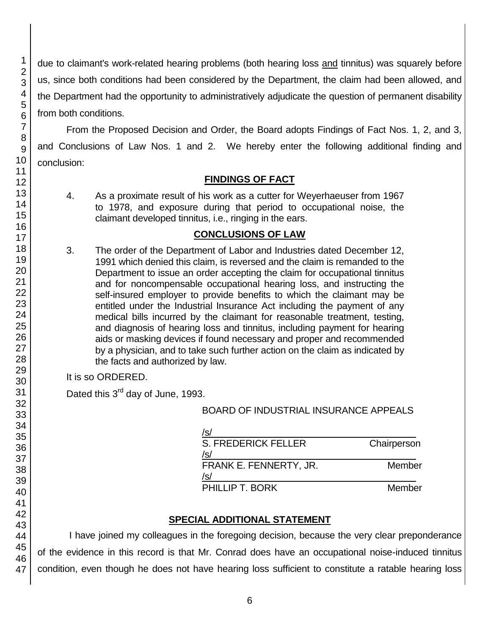due to claimant's work-related hearing problems (both hearing loss and tinnitus) was squarely before us, since both conditions had been considered by the Department, the claim had been allowed, and the Department had the opportunity to administratively adjudicate the question of permanent disability from both conditions.

From the Proposed Decision and Order, the Board adopts Findings of Fact Nos. 1, 2, and 3, and Conclusions of Law Nos. 1 and 2. We hereby enter the following additional finding and conclusion:

# **FINDINGS OF FACT**

4. As a proximate result of his work as a cutter for Weyerhaeuser from 1967 to 1978, and exposure during that period to occupational noise, the claimant developed tinnitus, i.e., ringing in the ears.

### **CONCLUSIONS OF LAW**

3. The order of the Department of Labor and Industries dated December 12, 1991 which denied this claim, is reversed and the claim is remanded to the Department to issue an order accepting the claim for occupational tinnitus and for noncompensable occupational hearing loss, and instructing the self-insured employer to provide benefits to which the claimant may be entitled under the Industrial Insurance Act including the payment of any medical bills incurred by the claimant for reasonable treatment, testing, and diagnosis of hearing loss and tinnitus, including payment for hearing aids or masking devices if found necessary and proper and recommended by a physician, and to take such further action on the claim as indicated by the facts and authorized by law.

It is so ORDERED.

Dated this 3<sup>rd</sup> day of June, 1993.

BOARD OF INDUSTRIAL INSURANCE APPEALS

| /s/                               |             |
|-----------------------------------|-------------|
| <b>S. FREDERICK FELLER</b><br>/s/ | Chairperson |
| FRANK E. FENNERTY, JR.<br>/s/     | Member      |
| PHILLIP T. BORK                   | Member      |

# **SPECIAL ADDITIONAL STATEMENT**

I have joined my colleagues in the foregoing decision, because the very clear preponderance of the evidence in this record is that Mr. Conrad does have an occupational noise-induced tinnitus condition, even though he does not have hearing loss sufficient to constitute a ratable hearing loss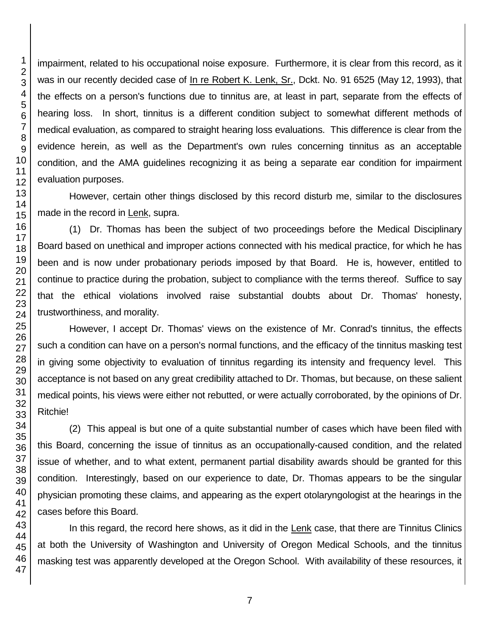impairment, related to his occupational noise exposure. Furthermore, it is clear from this record, as it was in our recently decided case of In re Robert K. Lenk, Sr., Dckt. No. 91 6525 (May 12, 1993), that the effects on a person's functions due to tinnitus are, at least in part, separate from the effects of hearing loss. In short, tinnitus is a different condition subject to somewhat different methods of medical evaluation, as compared to straight hearing loss evaluations. This difference is clear from the evidence herein, as well as the Department's own rules concerning tinnitus as an acceptable condition, and the AMA guidelines recognizing it as being a separate ear condition for impairment evaluation purposes.

However, certain other things disclosed by this record disturb me, similar to the disclosures made in the record in Lenk, supra.

(1) Dr. Thomas has been the subject of two proceedings before the Medical Disciplinary Board based on unethical and improper actions connected with his medical practice, for which he has been and is now under probationary periods imposed by that Board. He is, however, entitled to continue to practice during the probation, subject to compliance with the terms thereof. Suffice to say that the ethical violations involved raise substantial doubts about Dr. Thomas' honesty, trustworthiness, and morality.

However, I accept Dr. Thomas' views on the existence of Mr. Conrad's tinnitus, the effects such a condition can have on a person's normal functions, and the efficacy of the tinnitus masking test in giving some objectivity to evaluation of tinnitus regarding its intensity and frequency level. This acceptance is not based on any great credibility attached to Dr. Thomas, but because, on these salient medical points, his views were either not rebutted, or were actually corroborated, by the opinions of Dr. Ritchie!

(2) This appeal is but one of a quite substantial number of cases which have been filed with this Board, concerning the issue of tinnitus as an occupationally-caused condition, and the related issue of whether, and to what extent, permanent partial disability awards should be granted for this condition. Interestingly, based on our experience to date, Dr. Thomas appears to be the singular physician promoting these claims, and appearing as the expert otolaryngologist at the hearings in the cases before this Board.

In this regard, the record here shows, as it did in the Lenk case, that there are Tinnitus Clinics at both the University of Washington and University of Oregon Medical Schools, and the tinnitus masking test was apparently developed at the Oregon School. With availability of these resources, it